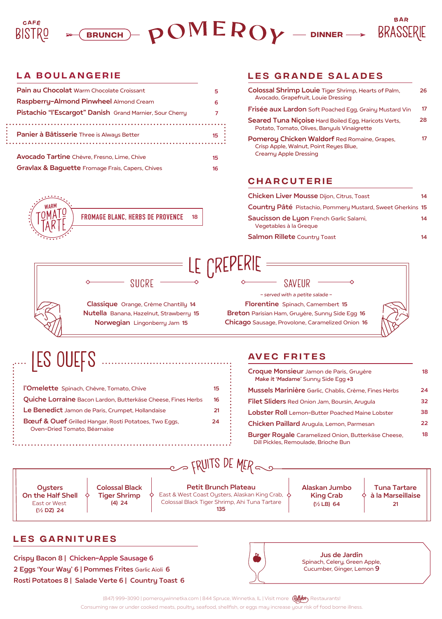

BRUNCH  $-\mathbf{D}$   $\mathbf{O}$   $\mathbf{N}$   $\mathbf{E}$   $\mathbf{P}$   $\mathbf{O}$   $\mathbf{V}$   $-$  dinner



### La Boulangerie

| <b>Pain au Chocolat Warm Chocolate Croissant</b>            | 5  |
|-------------------------------------------------------------|----|
| Raspberry-Almond Pinwheel Almond Cream                      | 6  |
| Pistachio "l'Escargot" Danish Grand Marnier, Sour Cherry    |    |
| Panier à Bâtisserie Three is Always Better                  | 15 |
| <b>Avocado Tartine</b> Chèvre, Fresno, Lime, Chive          | 15 |
| <b>Gravlax &amp; Baguette Fromage Frais, Capers, Chives</b> | 16 |



### **FROMAGE BLANC, HERBS DE PROVENCE** 18

### LES Grande SALADES

| <b>Colossal Shrimp Louie Tiger Shrimp, Hearts of Palm,</b><br>Avocado, Grapefruit, Louie Dressing                      | 26 |
|------------------------------------------------------------------------------------------------------------------------|----|
| Frisée aux Lardon Soft Poached Egg, Grainy Mustard Vin                                                                 | 17 |
| Seared Tuna Niçoise Hard Boiled Egg, Haricots Verts,<br>Potato, Tomato, Olives, Banyuls Vinaigrette                    | 28 |
| Pomeroy Chicken Waldorf Red Romaine, Grapes,<br>Crisp Apple, Walnut, Point Reyes Blue,<br><b>Creamy Apple Dressing</b> | 17 |

### **CHARCUTERIE**

| Chicken Liver Mousse Dijon, Citrus, Toast                         | 14 |
|-------------------------------------------------------------------|----|
| Country Pâté Pistachio, Pommery Mustard, Sweet Gherkins 15        |    |
| Saucisson de Lyon French Garlic Salami,<br>Vegetables à la Gregue | 14 |
| <b>Salmon Rillete Country Toast</b>                               | 14 |



Classique Orange, Crème Chantilly 14 Nutella Banana, Hazelnut, Strawberry 15 Norwegian Lingonberry Jam 15

**SUCRE** 

saveur - served with a petite salade -

Florentine Spinach, Camembert 15 Breton Parisian Ham, Gruyère, Sunny Side Egg 16 Chicago Sausage, Provolone, Caramelized Onion 16

# Les oueFs

| l'Omelette Spinach, Chèvre, Tomato, Chive                                             | 15 |
|---------------------------------------------------------------------------------------|----|
| Quiche Lorraine Bacon Lardon, Butterkäse Cheese, Fines Herbs                          | 16 |
| Le Benedict Jamon de Paris, Crumpet, Hollandaise                                      | 21 |
| Bœuf & Ouef Grilled Hangar, Rosti Potatoes, Two Eggs,<br>Oven-Dried Tomato, Béarnaise | 24 |

### **AVEC FRITES**

| Croque Monsieur Jamon de Paris, Gruyère<br>Make it 'Madame' Sunny Side Egg +3                      | 18 |
|----------------------------------------------------------------------------------------------------|----|
| Mussels Marinière Garlic, Chablis, Crème, Fines Herbs                                              | 24 |
| Filet Sliders Red Onion Jam, Boursin, Arugula                                                      | 32 |
| Lobster Roll Lemon-Butter Poached Maine Lobster                                                    | 38 |
| Chicken Paillard Arugula, Lemon, Parmesan                                                          | 22 |
| <b>Burger Royale</b> Caramelized Onion, Butterkäse Cheese,<br>Dill Pickles, Remoulade, Brioche Bun | 18 |

### OS FRUITS DE MER

**Oysters** On the Half Shell East or West (½ DZ) 24

Colossal Black Tiger Shrimp (4) 24

### Petit Brunch Plateau

East & West Coast Oysters, Alaskan King Crab, Colossal Black Tiger Shrimp, Ahi Tuna Tartare 135

Alaskan Jumbo King Crab (½ LB) 64

Tuna Tartare à la Marseillaise 21

### Les Garnitures

Crispy Bacon 8 | Chicken-Apple Sausage 6 2 Eggs 'Your Way' 6 | Pommes Frites Garlic Aioli 6 Rosti Potatoes 8 | Salade Verte 6 | Country Toast 6



Jus de Jardin Spinach, Celery, Green Apple, Cucumber, Ginger, Lemon 9

(847) 999-3090 | pomeroywinnetka.com | 844 Spruce, Winnetka, IL | Visit more  $\mathcal{B}$ ulyhot, Restaurants! Consuming raw or under cooked meats, poultry, seafood, shellfish, or eggs may increase your risk of food borne illness.